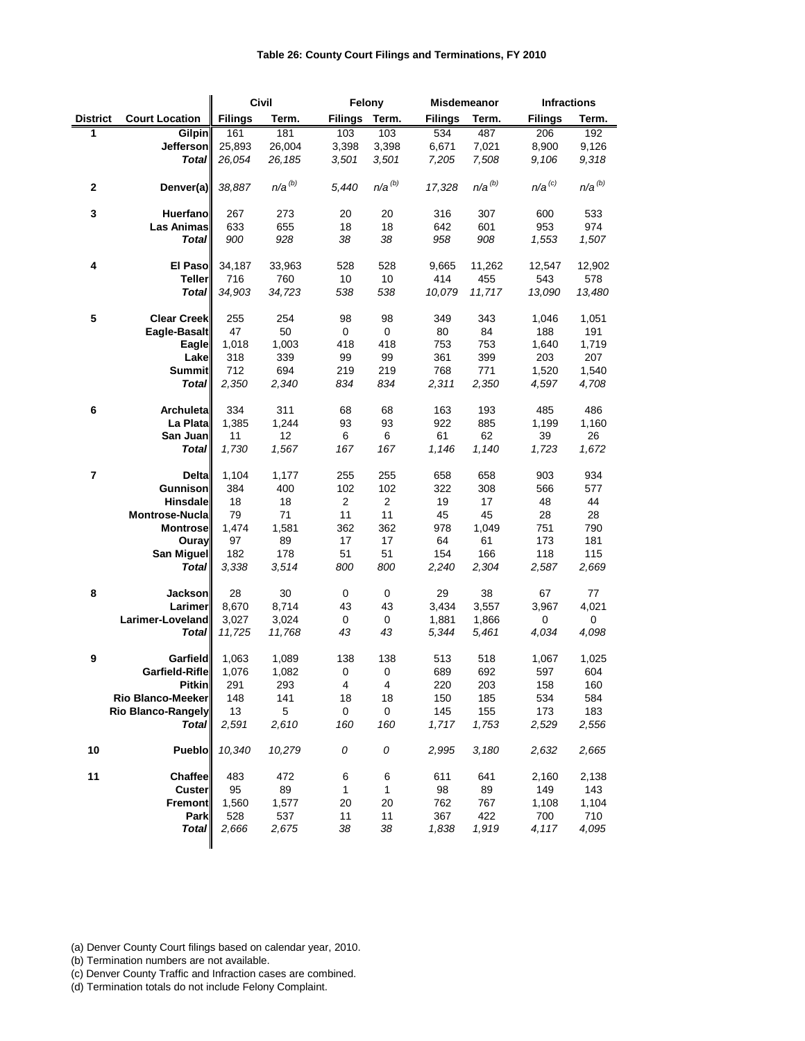|                 |                          |                | <b>Civil</b> | Felony         |                         |                | <b>Misdemeanor</b> |                | <b>Infractions</b> |
|-----------------|--------------------------|----------------|--------------|----------------|-------------------------|----------------|--------------------|----------------|--------------------|
| <b>District</b> | <b>Court Location</b>    | <b>Filings</b> | Term.        | <b>Filings</b> | Term.                   | <b>Filings</b> | Term.              | <b>Filings</b> | Term.              |
| 1               | <b>Gilpin</b>            | 161            | 181          | 103            | 103                     | 534            | 487                | 206            | 192                |
|                 | Jefferson                | 25,893         | 26,004       | 3,398          | 3,398                   | 6,671          | 7,021              | 8,900          | 9,126              |
|                 | <b>Total</b>             | 26,054         | 26,185       | 3,501          | 3,501                   | 7,205          | 7,508              | 9,106          | 9,318              |
| $\mathbf 2$     | Denver(a)                | 38,887         | $n/a^{(b)}$  | 5,440          | $n/a^{(b)}$             | 17,328         | $n/a^{(b)}$        | $n/a^{(c)}$    | $n/a^{(b)}$        |
| $\mathbf 3$     | Huerfano                 | 267            | 273          | 20             | 20                      | 316            | 307                | 600            | 533                |
|                 | <b>Las Animas</b>        | 633            | 655          | 18             | 18                      | 642            | 601                | 953            | 974                |
|                 | <b>Total</b>             | 900            | 928          | 38             | 38                      | 958            | 908                | 1,553          | 1,507              |
| 4               | <b>El Paso</b>           | 34,187         | 33,963       | 528            | 528                     | 9,665          | 11,262             | 12,547         | 12,902             |
|                 | <b>Teller</b>            | 716            | 760          | 10             | 10                      | 414            | 455                | 543            | 578                |
|                 | <b>Total</b>             | 34,903         | 34,723       | 538            | 538                     | 10,079         | 11,717             | 13,090         | 13,480             |
|                 |                          |                |              |                |                         |                |                    |                |                    |
| ${\bf 5}$       | <b>Clear Creek</b>       | 255            | 254          | 98             | 98                      | 349            | 343                | 1,046          | 1,051              |
|                 | Eagle-Basalt             | 47             | 50           | 0              | 0                       | 80             | 84                 | 188            | 191                |
|                 | Eagle                    | 1,018          | 1,003        | 418            | 418                     | 753            | 753                | 1,640          | 1,719              |
|                 | Lake                     | 318            | 339          | 99             | 99                      | 361            | 399                | 203            | 207                |
|                 | <b>Summit</b>            | 712            | 694          | 219            | 219                     | 768            | 771                | 1,520          | 1,540              |
|                 | <b>Total</b>             | 2,350          | 2,340        | 834            | 834                     | 2,311          | 2,350              | 4,597          | 4,708              |
| 6               | <b>Archuleta</b>         | 334            | 311          | 68             | 68                      | 163            | 193                | 485            | 486                |
|                 | La Plata                 | 1,385          | 1,244        | 93             | 93                      | 922            | 885                | 1,199          | 1,160              |
|                 | San Juan                 | 11             | 12           | 6              | 6                       | 61             | 62                 | 39             | 26                 |
|                 | <b>Total</b>             | 1,730          | 1,567        | 167            | 167                     | 1,146          | 1,140              | 1,723          | 1,672              |
| 7               | <b>Delta</b>             | 1,104          | 1,177        | 255            | 255                     | 658            | 658                | 903            | 934                |
|                 | Gunnison                 | 384            | 400          | 102            | 102                     | 322            | 308                | 566            | 577                |
|                 | <b>Hinsdale</b>          | 18             | 18           | $\overline{2}$ | $\overline{2}$          | 19             | 17                 | 48             | 44                 |
|                 | Montrose-Nucla           | 79             | 71           | 11             | 11                      | 45             | 45                 | 28             | 28                 |
|                 | <b>Montrose</b>          | 1,474          | 1,581        | 362            | 362                     | 978            | 1,049              | 751            | 790                |
|                 | Ouray                    | 97             | 89           | 17             | 17                      | 64             | 61                 | 173            | 181                |
|                 | San Miguel               | 182            | 178          | 51             | 51                      | 154            | 166                | 118            | 115                |
|                 | <b>Total</b>             | 3,338          | 3,514        | 800            | 800                     | 2,240          | 2,304              | 2,587          | 2,669              |
| 8               | <b>Jackson</b>           | 28             | 30           | $\mathbf 0$    | $\mathbf 0$             | 29             | 38                 | 67             | 77                 |
|                 | <b>Larimer</b>           | 8,670          | 8,714        | 43             | 43                      | 3,434          | 3,557              | 3,967          | 4,021              |
|                 | Larimer-Loveland         | 3,027          | 3,024        | 0              | 0                       | 1,881          | 1,866              | 0              | $\mathbf 0$        |
|                 | <b>Total</b>             | 11,725         | 11,768       | 43             | 43                      | 5,344          | 5,461              | 4,034          | 4,098              |
| 9               | <b>Garfield</b>          | 1,063          | 1,089        | 138            | 138                     | 513            | 518                | 1,067          | 1,025              |
|                 | Garfield-Rifle           | 1,076          | 1,082        | 0              | 0                       | 689            | 692                | 597            | 604                |
|                 | <b>Pitkin</b>            | 291            | 293          | 4              | $\overline{\mathbf{4}}$ | 220            | 203                | 158            | 160                |
|                 | <b>Rio Blanco-Meeker</b> | 148            | 141          | 18             | 18                      | 150            | 185                | 534            | 584                |
|                 | Rio Blanco-Rangely       | 13             | 5            | 0              | $\mathbf 0$             | 145            | 155                | 173            | 183                |
|                 | <b>Total</b>             | 2,591          | 2,610        | 160            | 160                     | 1,717          | 1,753              | 2,529          | 2,556              |
| 10              | <b>Pueblo</b>            | 10,340         | 10,279       | 0              | 0                       | 2,995          | 3,180              | 2,632          | 2,665              |
| 11              | <b>Chaffee</b>           | 483            | 472          | 6              | 6                       | 611            | 641                | 2,160          | 2,138              |
|                 | <b>Custer</b>            | 95             | 89           | 1              | 1                       | 98             | 89                 | 149            | 143                |
|                 | <b>Fremont</b>           | 1,560          | 1,577        | 20             | 20                      | 762            | 767                | 1,108          | 1,104              |
|                 | <b>Park</b>              | 528            | 537          | 11             | 11                      | 367            | 422                | 700            | 710                |
|                 | <b>Total</b>             | 2,666          | 2,675        | 38             | 38                      | 1,838          | 1,919              | 4,117          | 4,095              |

(b) Termination numbers are not available.

(c) Denver County Traffic and Infraction cases are combined.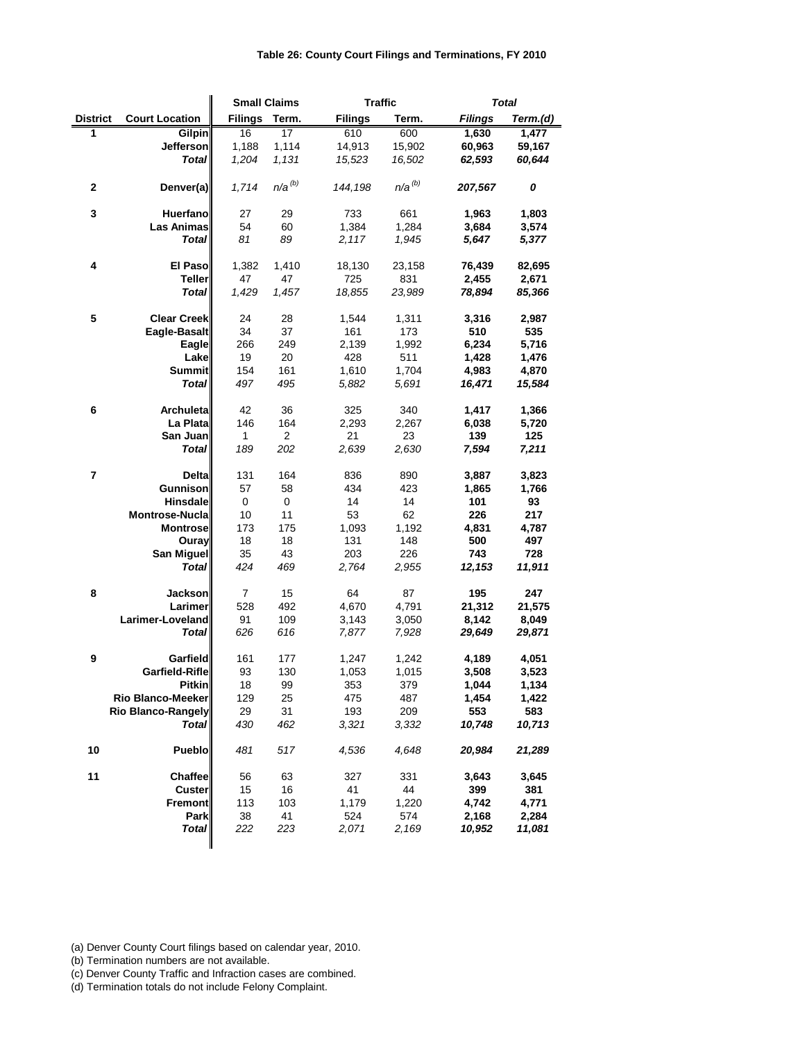| <b>District</b><br><b>Court Location</b><br><b>Filings</b><br>Term.<br><b>Filings</b><br>Term.<br><b>Filings</b><br>Term.(d)<br>1<br>$\overline{16}$<br>$\overline{17}$<br>600<br><b>Gilpin</b><br>610<br>1,630<br>1,477<br>1,114<br><b>Jefferson</b><br>1,188<br>14,913<br>15,902<br>60,963<br>59,167<br><b>Total</b><br>1,204<br>1,131<br>16,502<br>60,644<br>15,523<br>62,593<br>$n/a^{(b)}$<br>$n/a^{(b)}$<br>$\mathbf{2}$<br>1,714<br>144,198<br>207,567<br>0<br>Denver(a)<br>$\mathbf{3}$<br>Huerfano<br>29<br>733<br>661<br>1,963<br>1,803<br>27<br>1,384<br><b>Las Animas</b><br>54<br>60<br>1,284<br>3,684<br>3,574<br>89<br>81<br>1,945<br>5,647<br><b>Total</b><br>2,117<br>5,377<br>4<br>1,382<br><b>El Paso</b><br>1,410<br>18,130<br>23,158<br>76,439<br>82,695<br><b>Teller</b><br>47<br>725<br>831<br>2,455<br>47<br>2,671<br><b>Total</b><br>1,457<br>1,429<br>18,855<br>23,989<br>78,894<br>85,366<br>5<br><b>Clear Creek</b><br>24<br>28<br>1,544<br>1,311<br>3,316<br>2,987<br>Eagle-Basalt<br>34<br>37<br>161<br>173<br>510<br>535<br>266<br>Eagle<br>249<br>2,139<br>1,992<br>6,234<br>5,716<br>19<br>20<br>428<br>511<br>1,428<br>Lake<br>1,476<br><b>Summit</b><br>154<br>161<br>1,610<br>1,704<br>4,983<br>4,870<br>497<br>495<br>16,471<br><b>Total</b><br>5,882<br>5,691<br>15,584<br><b>Archuleta</b><br>42<br>36<br>325<br>340<br>6<br>1,417<br>1,366<br>La Plata<br>146<br>164<br>2,293<br>2,267<br>6,038<br>5,720<br>$\overline{2}$<br>21<br>23<br>139<br>125<br>San Juan<br>1<br>189<br>202<br><b>Total</b><br>2,639<br>2,630<br>7,594<br>7,211<br>$\overline{7}$<br><b>Delta</b><br>131<br>836<br>890<br>164<br>3,887<br>3,823<br>Gunnison<br>57<br>58<br>434<br>423<br>1,865<br>1,766<br><b>Hinsdale</b><br>14<br>14<br>0<br>0<br>101<br>93<br>53<br>62<br>Montrose-Nucla<br>11<br>226<br>217<br>10<br>4,831<br><b>Montrose</b><br>173<br>175<br>1,093<br>1,192<br>4,787<br>18<br>18<br>131<br>148<br>500<br>497<br>Ouray<br>San Miguel<br>35<br>43<br>203<br>226<br>743<br>728<br><b>Total</b><br>424<br>2,764<br>2,955<br>12,153<br>11,911<br>469<br>8<br>$\overline{7}$<br>87<br>195<br>15<br>64<br>247<br><b>Jackson</b><br>Larimer<br>528<br>492<br>21,312<br>21,575<br>4,670<br>4,791<br>Larimer-Loveland<br>91<br>109<br>3,143<br>8,142<br>8,049<br>3,050<br><b>Total</b><br>616<br>29,649<br>626<br>7,877<br>7,928<br>29,871<br>$\boldsymbol{9}$<br><b>Garfield</b><br>161<br>4,189<br>4,051<br>177<br>1,247<br>1,242<br>Garfield-Rifle<br>93<br>130<br>1,015<br>1,053<br>3,508<br>3,523<br><b>Pitkin</b><br>18<br>99<br>353<br>379<br>1,044<br>1,134<br><b>Rio Blanco-Meeker</b><br>129<br>25<br>475<br>487<br>1,454<br>1,422<br>193<br>209<br>29<br>31<br>553<br>583<br><b>Rio Blanco-Rangely</b><br>430<br>462<br>3,332<br>10,748<br>10,713<br><b>Total</b><br>3,321<br>10<br>481<br>20,984<br><b>Pueblo</b><br>517<br>4,536<br>4,648<br>21,289<br>11<br><b>Chaffee</b><br>56<br>63<br>331<br>327<br>3,643<br>3,645<br>15<br>16<br>41<br>44<br>399<br><b>Custer</b><br>381<br>113<br>4,742<br><b>Fremont</b><br>103<br>1,179<br>1,220<br>4,771<br><b>Park</b><br>38<br>41<br>524<br>574<br>2,168<br>2,284<br><b>Total</b><br>222<br>223<br>2,071<br>2,169<br>10,952<br>11,081 |  | <b>Small Claims</b> |  | <b>Traffic</b> | <b>Total</b> |  |
|----------------------------------------------------------------------------------------------------------------------------------------------------------------------------------------------------------------------------------------------------------------------------------------------------------------------------------------------------------------------------------------------------------------------------------------------------------------------------------------------------------------------------------------------------------------------------------------------------------------------------------------------------------------------------------------------------------------------------------------------------------------------------------------------------------------------------------------------------------------------------------------------------------------------------------------------------------------------------------------------------------------------------------------------------------------------------------------------------------------------------------------------------------------------------------------------------------------------------------------------------------------------------------------------------------------------------------------------------------------------------------------------------------------------------------------------------------------------------------------------------------------------------------------------------------------------------------------------------------------------------------------------------------------------------------------------------------------------------------------------------------------------------------------------------------------------------------------------------------------------------------------------------------------------------------------------------------------------------------------------------------------------------------------------------------------------------------------------------------------------------------------------------------------------------------------------------------------------------------------------------------------------------------------------------------------------------------------------------------------------------------------------------------------------------------------------------------------------------------------------------------------------------------------------------------------------------------------------------------------------------------------------------------------------------------------------------------------------------------------------------------------------------------------------------------------------------------------------------------------------------------------------------------------------------------------------------------------------------------------------------------------------------------------------------------------------------------------------------------------------------------------------------------------------------------------------------------------------------|--|---------------------|--|----------------|--------------|--|
|                                                                                                                                                                                                                                                                                                                                                                                                                                                                                                                                                                                                                                                                                                                                                                                                                                                                                                                                                                                                                                                                                                                                                                                                                                                                                                                                                                                                                                                                                                                                                                                                                                                                                                                                                                                                                                                                                                                                                                                                                                                                                                                                                                                                                                                                                                                                                                                                                                                                                                                                                                                                                                                                                                                                                                                                                                                                                                                                                                                                                                                                                                                                                                                                                            |  |                     |  |                |              |  |
|                                                                                                                                                                                                                                                                                                                                                                                                                                                                                                                                                                                                                                                                                                                                                                                                                                                                                                                                                                                                                                                                                                                                                                                                                                                                                                                                                                                                                                                                                                                                                                                                                                                                                                                                                                                                                                                                                                                                                                                                                                                                                                                                                                                                                                                                                                                                                                                                                                                                                                                                                                                                                                                                                                                                                                                                                                                                                                                                                                                                                                                                                                                                                                                                                            |  |                     |  |                |              |  |
|                                                                                                                                                                                                                                                                                                                                                                                                                                                                                                                                                                                                                                                                                                                                                                                                                                                                                                                                                                                                                                                                                                                                                                                                                                                                                                                                                                                                                                                                                                                                                                                                                                                                                                                                                                                                                                                                                                                                                                                                                                                                                                                                                                                                                                                                                                                                                                                                                                                                                                                                                                                                                                                                                                                                                                                                                                                                                                                                                                                                                                                                                                                                                                                                                            |  |                     |  |                |              |  |
|                                                                                                                                                                                                                                                                                                                                                                                                                                                                                                                                                                                                                                                                                                                                                                                                                                                                                                                                                                                                                                                                                                                                                                                                                                                                                                                                                                                                                                                                                                                                                                                                                                                                                                                                                                                                                                                                                                                                                                                                                                                                                                                                                                                                                                                                                                                                                                                                                                                                                                                                                                                                                                                                                                                                                                                                                                                                                                                                                                                                                                                                                                                                                                                                                            |  |                     |  |                |              |  |
|                                                                                                                                                                                                                                                                                                                                                                                                                                                                                                                                                                                                                                                                                                                                                                                                                                                                                                                                                                                                                                                                                                                                                                                                                                                                                                                                                                                                                                                                                                                                                                                                                                                                                                                                                                                                                                                                                                                                                                                                                                                                                                                                                                                                                                                                                                                                                                                                                                                                                                                                                                                                                                                                                                                                                                                                                                                                                                                                                                                                                                                                                                                                                                                                                            |  |                     |  |                |              |  |
|                                                                                                                                                                                                                                                                                                                                                                                                                                                                                                                                                                                                                                                                                                                                                                                                                                                                                                                                                                                                                                                                                                                                                                                                                                                                                                                                                                                                                                                                                                                                                                                                                                                                                                                                                                                                                                                                                                                                                                                                                                                                                                                                                                                                                                                                                                                                                                                                                                                                                                                                                                                                                                                                                                                                                                                                                                                                                                                                                                                                                                                                                                                                                                                                                            |  |                     |  |                |              |  |
|                                                                                                                                                                                                                                                                                                                                                                                                                                                                                                                                                                                                                                                                                                                                                                                                                                                                                                                                                                                                                                                                                                                                                                                                                                                                                                                                                                                                                                                                                                                                                                                                                                                                                                                                                                                                                                                                                                                                                                                                                                                                                                                                                                                                                                                                                                                                                                                                                                                                                                                                                                                                                                                                                                                                                                                                                                                                                                                                                                                                                                                                                                                                                                                                                            |  |                     |  |                |              |  |
|                                                                                                                                                                                                                                                                                                                                                                                                                                                                                                                                                                                                                                                                                                                                                                                                                                                                                                                                                                                                                                                                                                                                                                                                                                                                                                                                                                                                                                                                                                                                                                                                                                                                                                                                                                                                                                                                                                                                                                                                                                                                                                                                                                                                                                                                                                                                                                                                                                                                                                                                                                                                                                                                                                                                                                                                                                                                                                                                                                                                                                                                                                                                                                                                                            |  |                     |  |                |              |  |
|                                                                                                                                                                                                                                                                                                                                                                                                                                                                                                                                                                                                                                                                                                                                                                                                                                                                                                                                                                                                                                                                                                                                                                                                                                                                                                                                                                                                                                                                                                                                                                                                                                                                                                                                                                                                                                                                                                                                                                                                                                                                                                                                                                                                                                                                                                                                                                                                                                                                                                                                                                                                                                                                                                                                                                                                                                                                                                                                                                                                                                                                                                                                                                                                                            |  |                     |  |                |              |  |
|                                                                                                                                                                                                                                                                                                                                                                                                                                                                                                                                                                                                                                                                                                                                                                                                                                                                                                                                                                                                                                                                                                                                                                                                                                                                                                                                                                                                                                                                                                                                                                                                                                                                                                                                                                                                                                                                                                                                                                                                                                                                                                                                                                                                                                                                                                                                                                                                                                                                                                                                                                                                                                                                                                                                                                                                                                                                                                                                                                                                                                                                                                                                                                                                                            |  |                     |  |                |              |  |
|                                                                                                                                                                                                                                                                                                                                                                                                                                                                                                                                                                                                                                                                                                                                                                                                                                                                                                                                                                                                                                                                                                                                                                                                                                                                                                                                                                                                                                                                                                                                                                                                                                                                                                                                                                                                                                                                                                                                                                                                                                                                                                                                                                                                                                                                                                                                                                                                                                                                                                                                                                                                                                                                                                                                                                                                                                                                                                                                                                                                                                                                                                                                                                                                                            |  |                     |  |                |              |  |
|                                                                                                                                                                                                                                                                                                                                                                                                                                                                                                                                                                                                                                                                                                                                                                                                                                                                                                                                                                                                                                                                                                                                                                                                                                                                                                                                                                                                                                                                                                                                                                                                                                                                                                                                                                                                                                                                                                                                                                                                                                                                                                                                                                                                                                                                                                                                                                                                                                                                                                                                                                                                                                                                                                                                                                                                                                                                                                                                                                                                                                                                                                                                                                                                                            |  |                     |  |                |              |  |
|                                                                                                                                                                                                                                                                                                                                                                                                                                                                                                                                                                                                                                                                                                                                                                                                                                                                                                                                                                                                                                                                                                                                                                                                                                                                                                                                                                                                                                                                                                                                                                                                                                                                                                                                                                                                                                                                                                                                                                                                                                                                                                                                                                                                                                                                                                                                                                                                                                                                                                                                                                                                                                                                                                                                                                                                                                                                                                                                                                                                                                                                                                                                                                                                                            |  |                     |  |                |              |  |
|                                                                                                                                                                                                                                                                                                                                                                                                                                                                                                                                                                                                                                                                                                                                                                                                                                                                                                                                                                                                                                                                                                                                                                                                                                                                                                                                                                                                                                                                                                                                                                                                                                                                                                                                                                                                                                                                                                                                                                                                                                                                                                                                                                                                                                                                                                                                                                                                                                                                                                                                                                                                                                                                                                                                                                                                                                                                                                                                                                                                                                                                                                                                                                                                                            |  |                     |  |                |              |  |
|                                                                                                                                                                                                                                                                                                                                                                                                                                                                                                                                                                                                                                                                                                                                                                                                                                                                                                                                                                                                                                                                                                                                                                                                                                                                                                                                                                                                                                                                                                                                                                                                                                                                                                                                                                                                                                                                                                                                                                                                                                                                                                                                                                                                                                                                                                                                                                                                                                                                                                                                                                                                                                                                                                                                                                                                                                                                                                                                                                                                                                                                                                                                                                                                                            |  |                     |  |                |              |  |
|                                                                                                                                                                                                                                                                                                                                                                                                                                                                                                                                                                                                                                                                                                                                                                                                                                                                                                                                                                                                                                                                                                                                                                                                                                                                                                                                                                                                                                                                                                                                                                                                                                                                                                                                                                                                                                                                                                                                                                                                                                                                                                                                                                                                                                                                                                                                                                                                                                                                                                                                                                                                                                                                                                                                                                                                                                                                                                                                                                                                                                                                                                                                                                                                                            |  |                     |  |                |              |  |
|                                                                                                                                                                                                                                                                                                                                                                                                                                                                                                                                                                                                                                                                                                                                                                                                                                                                                                                                                                                                                                                                                                                                                                                                                                                                                                                                                                                                                                                                                                                                                                                                                                                                                                                                                                                                                                                                                                                                                                                                                                                                                                                                                                                                                                                                                                                                                                                                                                                                                                                                                                                                                                                                                                                                                                                                                                                                                                                                                                                                                                                                                                                                                                                                                            |  |                     |  |                |              |  |
|                                                                                                                                                                                                                                                                                                                                                                                                                                                                                                                                                                                                                                                                                                                                                                                                                                                                                                                                                                                                                                                                                                                                                                                                                                                                                                                                                                                                                                                                                                                                                                                                                                                                                                                                                                                                                                                                                                                                                                                                                                                                                                                                                                                                                                                                                                                                                                                                                                                                                                                                                                                                                                                                                                                                                                                                                                                                                                                                                                                                                                                                                                                                                                                                                            |  |                     |  |                |              |  |
|                                                                                                                                                                                                                                                                                                                                                                                                                                                                                                                                                                                                                                                                                                                                                                                                                                                                                                                                                                                                                                                                                                                                                                                                                                                                                                                                                                                                                                                                                                                                                                                                                                                                                                                                                                                                                                                                                                                                                                                                                                                                                                                                                                                                                                                                                                                                                                                                                                                                                                                                                                                                                                                                                                                                                                                                                                                                                                                                                                                                                                                                                                                                                                                                                            |  |                     |  |                |              |  |
|                                                                                                                                                                                                                                                                                                                                                                                                                                                                                                                                                                                                                                                                                                                                                                                                                                                                                                                                                                                                                                                                                                                                                                                                                                                                                                                                                                                                                                                                                                                                                                                                                                                                                                                                                                                                                                                                                                                                                                                                                                                                                                                                                                                                                                                                                                                                                                                                                                                                                                                                                                                                                                                                                                                                                                                                                                                                                                                                                                                                                                                                                                                                                                                                                            |  |                     |  |                |              |  |
|                                                                                                                                                                                                                                                                                                                                                                                                                                                                                                                                                                                                                                                                                                                                                                                                                                                                                                                                                                                                                                                                                                                                                                                                                                                                                                                                                                                                                                                                                                                                                                                                                                                                                                                                                                                                                                                                                                                                                                                                                                                                                                                                                                                                                                                                                                                                                                                                                                                                                                                                                                                                                                                                                                                                                                                                                                                                                                                                                                                                                                                                                                                                                                                                                            |  |                     |  |                |              |  |
|                                                                                                                                                                                                                                                                                                                                                                                                                                                                                                                                                                                                                                                                                                                                                                                                                                                                                                                                                                                                                                                                                                                                                                                                                                                                                                                                                                                                                                                                                                                                                                                                                                                                                                                                                                                                                                                                                                                                                                                                                                                                                                                                                                                                                                                                                                                                                                                                                                                                                                                                                                                                                                                                                                                                                                                                                                                                                                                                                                                                                                                                                                                                                                                                                            |  |                     |  |                |              |  |
|                                                                                                                                                                                                                                                                                                                                                                                                                                                                                                                                                                                                                                                                                                                                                                                                                                                                                                                                                                                                                                                                                                                                                                                                                                                                                                                                                                                                                                                                                                                                                                                                                                                                                                                                                                                                                                                                                                                                                                                                                                                                                                                                                                                                                                                                                                                                                                                                                                                                                                                                                                                                                                                                                                                                                                                                                                                                                                                                                                                                                                                                                                                                                                                                                            |  |                     |  |                |              |  |
|                                                                                                                                                                                                                                                                                                                                                                                                                                                                                                                                                                                                                                                                                                                                                                                                                                                                                                                                                                                                                                                                                                                                                                                                                                                                                                                                                                                                                                                                                                                                                                                                                                                                                                                                                                                                                                                                                                                                                                                                                                                                                                                                                                                                                                                                                                                                                                                                                                                                                                                                                                                                                                                                                                                                                                                                                                                                                                                                                                                                                                                                                                                                                                                                                            |  |                     |  |                |              |  |
|                                                                                                                                                                                                                                                                                                                                                                                                                                                                                                                                                                                                                                                                                                                                                                                                                                                                                                                                                                                                                                                                                                                                                                                                                                                                                                                                                                                                                                                                                                                                                                                                                                                                                                                                                                                                                                                                                                                                                                                                                                                                                                                                                                                                                                                                                                                                                                                                                                                                                                                                                                                                                                                                                                                                                                                                                                                                                                                                                                                                                                                                                                                                                                                                                            |  |                     |  |                |              |  |
|                                                                                                                                                                                                                                                                                                                                                                                                                                                                                                                                                                                                                                                                                                                                                                                                                                                                                                                                                                                                                                                                                                                                                                                                                                                                                                                                                                                                                                                                                                                                                                                                                                                                                                                                                                                                                                                                                                                                                                                                                                                                                                                                                                                                                                                                                                                                                                                                                                                                                                                                                                                                                                                                                                                                                                                                                                                                                                                                                                                                                                                                                                                                                                                                                            |  |                     |  |                |              |  |
|                                                                                                                                                                                                                                                                                                                                                                                                                                                                                                                                                                                                                                                                                                                                                                                                                                                                                                                                                                                                                                                                                                                                                                                                                                                                                                                                                                                                                                                                                                                                                                                                                                                                                                                                                                                                                                                                                                                                                                                                                                                                                                                                                                                                                                                                                                                                                                                                                                                                                                                                                                                                                                                                                                                                                                                                                                                                                                                                                                                                                                                                                                                                                                                                                            |  |                     |  |                |              |  |
|                                                                                                                                                                                                                                                                                                                                                                                                                                                                                                                                                                                                                                                                                                                                                                                                                                                                                                                                                                                                                                                                                                                                                                                                                                                                                                                                                                                                                                                                                                                                                                                                                                                                                                                                                                                                                                                                                                                                                                                                                                                                                                                                                                                                                                                                                                                                                                                                                                                                                                                                                                                                                                                                                                                                                                                                                                                                                                                                                                                                                                                                                                                                                                                                                            |  |                     |  |                |              |  |
|                                                                                                                                                                                                                                                                                                                                                                                                                                                                                                                                                                                                                                                                                                                                                                                                                                                                                                                                                                                                                                                                                                                                                                                                                                                                                                                                                                                                                                                                                                                                                                                                                                                                                                                                                                                                                                                                                                                                                                                                                                                                                                                                                                                                                                                                                                                                                                                                                                                                                                                                                                                                                                                                                                                                                                                                                                                                                                                                                                                                                                                                                                                                                                                                                            |  |                     |  |                |              |  |
|                                                                                                                                                                                                                                                                                                                                                                                                                                                                                                                                                                                                                                                                                                                                                                                                                                                                                                                                                                                                                                                                                                                                                                                                                                                                                                                                                                                                                                                                                                                                                                                                                                                                                                                                                                                                                                                                                                                                                                                                                                                                                                                                                                                                                                                                                                                                                                                                                                                                                                                                                                                                                                                                                                                                                                                                                                                                                                                                                                                                                                                                                                                                                                                                                            |  |                     |  |                |              |  |
|                                                                                                                                                                                                                                                                                                                                                                                                                                                                                                                                                                                                                                                                                                                                                                                                                                                                                                                                                                                                                                                                                                                                                                                                                                                                                                                                                                                                                                                                                                                                                                                                                                                                                                                                                                                                                                                                                                                                                                                                                                                                                                                                                                                                                                                                                                                                                                                                                                                                                                                                                                                                                                                                                                                                                                                                                                                                                                                                                                                                                                                                                                                                                                                                                            |  |                     |  |                |              |  |
|                                                                                                                                                                                                                                                                                                                                                                                                                                                                                                                                                                                                                                                                                                                                                                                                                                                                                                                                                                                                                                                                                                                                                                                                                                                                                                                                                                                                                                                                                                                                                                                                                                                                                                                                                                                                                                                                                                                                                                                                                                                                                                                                                                                                                                                                                                                                                                                                                                                                                                                                                                                                                                                                                                                                                                                                                                                                                                                                                                                                                                                                                                                                                                                                                            |  |                     |  |                |              |  |
|                                                                                                                                                                                                                                                                                                                                                                                                                                                                                                                                                                                                                                                                                                                                                                                                                                                                                                                                                                                                                                                                                                                                                                                                                                                                                                                                                                                                                                                                                                                                                                                                                                                                                                                                                                                                                                                                                                                                                                                                                                                                                                                                                                                                                                                                                                                                                                                                                                                                                                                                                                                                                                                                                                                                                                                                                                                                                                                                                                                                                                                                                                                                                                                                                            |  |                     |  |                |              |  |
|                                                                                                                                                                                                                                                                                                                                                                                                                                                                                                                                                                                                                                                                                                                                                                                                                                                                                                                                                                                                                                                                                                                                                                                                                                                                                                                                                                                                                                                                                                                                                                                                                                                                                                                                                                                                                                                                                                                                                                                                                                                                                                                                                                                                                                                                                                                                                                                                                                                                                                                                                                                                                                                                                                                                                                                                                                                                                                                                                                                                                                                                                                                                                                                                                            |  |                     |  |                |              |  |
|                                                                                                                                                                                                                                                                                                                                                                                                                                                                                                                                                                                                                                                                                                                                                                                                                                                                                                                                                                                                                                                                                                                                                                                                                                                                                                                                                                                                                                                                                                                                                                                                                                                                                                                                                                                                                                                                                                                                                                                                                                                                                                                                                                                                                                                                                                                                                                                                                                                                                                                                                                                                                                                                                                                                                                                                                                                                                                                                                                                                                                                                                                                                                                                                                            |  |                     |  |                |              |  |
|                                                                                                                                                                                                                                                                                                                                                                                                                                                                                                                                                                                                                                                                                                                                                                                                                                                                                                                                                                                                                                                                                                                                                                                                                                                                                                                                                                                                                                                                                                                                                                                                                                                                                                                                                                                                                                                                                                                                                                                                                                                                                                                                                                                                                                                                                                                                                                                                                                                                                                                                                                                                                                                                                                                                                                                                                                                                                                                                                                                                                                                                                                                                                                                                                            |  |                     |  |                |              |  |
|                                                                                                                                                                                                                                                                                                                                                                                                                                                                                                                                                                                                                                                                                                                                                                                                                                                                                                                                                                                                                                                                                                                                                                                                                                                                                                                                                                                                                                                                                                                                                                                                                                                                                                                                                                                                                                                                                                                                                                                                                                                                                                                                                                                                                                                                                                                                                                                                                                                                                                                                                                                                                                                                                                                                                                                                                                                                                                                                                                                                                                                                                                                                                                                                                            |  |                     |  |                |              |  |
|                                                                                                                                                                                                                                                                                                                                                                                                                                                                                                                                                                                                                                                                                                                                                                                                                                                                                                                                                                                                                                                                                                                                                                                                                                                                                                                                                                                                                                                                                                                                                                                                                                                                                                                                                                                                                                                                                                                                                                                                                                                                                                                                                                                                                                                                                                                                                                                                                                                                                                                                                                                                                                                                                                                                                                                                                                                                                                                                                                                                                                                                                                                                                                                                                            |  |                     |  |                |              |  |
|                                                                                                                                                                                                                                                                                                                                                                                                                                                                                                                                                                                                                                                                                                                                                                                                                                                                                                                                                                                                                                                                                                                                                                                                                                                                                                                                                                                                                                                                                                                                                                                                                                                                                                                                                                                                                                                                                                                                                                                                                                                                                                                                                                                                                                                                                                                                                                                                                                                                                                                                                                                                                                                                                                                                                                                                                                                                                                                                                                                                                                                                                                                                                                                                                            |  |                     |  |                |              |  |
|                                                                                                                                                                                                                                                                                                                                                                                                                                                                                                                                                                                                                                                                                                                                                                                                                                                                                                                                                                                                                                                                                                                                                                                                                                                                                                                                                                                                                                                                                                                                                                                                                                                                                                                                                                                                                                                                                                                                                                                                                                                                                                                                                                                                                                                                                                                                                                                                                                                                                                                                                                                                                                                                                                                                                                                                                                                                                                                                                                                                                                                                                                                                                                                                                            |  |                     |  |                |              |  |
|                                                                                                                                                                                                                                                                                                                                                                                                                                                                                                                                                                                                                                                                                                                                                                                                                                                                                                                                                                                                                                                                                                                                                                                                                                                                                                                                                                                                                                                                                                                                                                                                                                                                                                                                                                                                                                                                                                                                                                                                                                                                                                                                                                                                                                                                                                                                                                                                                                                                                                                                                                                                                                                                                                                                                                                                                                                                                                                                                                                                                                                                                                                                                                                                                            |  |                     |  |                |              |  |
|                                                                                                                                                                                                                                                                                                                                                                                                                                                                                                                                                                                                                                                                                                                                                                                                                                                                                                                                                                                                                                                                                                                                                                                                                                                                                                                                                                                                                                                                                                                                                                                                                                                                                                                                                                                                                                                                                                                                                                                                                                                                                                                                                                                                                                                                                                                                                                                                                                                                                                                                                                                                                                                                                                                                                                                                                                                                                                                                                                                                                                                                                                                                                                                                                            |  |                     |  |                |              |  |
|                                                                                                                                                                                                                                                                                                                                                                                                                                                                                                                                                                                                                                                                                                                                                                                                                                                                                                                                                                                                                                                                                                                                                                                                                                                                                                                                                                                                                                                                                                                                                                                                                                                                                                                                                                                                                                                                                                                                                                                                                                                                                                                                                                                                                                                                                                                                                                                                                                                                                                                                                                                                                                                                                                                                                                                                                                                                                                                                                                                                                                                                                                                                                                                                                            |  |                     |  |                |              |  |
|                                                                                                                                                                                                                                                                                                                                                                                                                                                                                                                                                                                                                                                                                                                                                                                                                                                                                                                                                                                                                                                                                                                                                                                                                                                                                                                                                                                                                                                                                                                                                                                                                                                                                                                                                                                                                                                                                                                                                                                                                                                                                                                                                                                                                                                                                                                                                                                                                                                                                                                                                                                                                                                                                                                                                                                                                                                                                                                                                                                                                                                                                                                                                                                                                            |  |                     |  |                |              |  |
|                                                                                                                                                                                                                                                                                                                                                                                                                                                                                                                                                                                                                                                                                                                                                                                                                                                                                                                                                                                                                                                                                                                                                                                                                                                                                                                                                                                                                                                                                                                                                                                                                                                                                                                                                                                                                                                                                                                                                                                                                                                                                                                                                                                                                                                                                                                                                                                                                                                                                                                                                                                                                                                                                                                                                                                                                                                                                                                                                                                                                                                                                                                                                                                                                            |  |                     |  |                |              |  |
|                                                                                                                                                                                                                                                                                                                                                                                                                                                                                                                                                                                                                                                                                                                                                                                                                                                                                                                                                                                                                                                                                                                                                                                                                                                                                                                                                                                                                                                                                                                                                                                                                                                                                                                                                                                                                                                                                                                                                                                                                                                                                                                                                                                                                                                                                                                                                                                                                                                                                                                                                                                                                                                                                                                                                                                                                                                                                                                                                                                                                                                                                                                                                                                                                            |  |                     |  |                |              |  |
|                                                                                                                                                                                                                                                                                                                                                                                                                                                                                                                                                                                                                                                                                                                                                                                                                                                                                                                                                                                                                                                                                                                                                                                                                                                                                                                                                                                                                                                                                                                                                                                                                                                                                                                                                                                                                                                                                                                                                                                                                                                                                                                                                                                                                                                                                                                                                                                                                                                                                                                                                                                                                                                                                                                                                                                                                                                                                                                                                                                                                                                                                                                                                                                                                            |  |                     |  |                |              |  |
|                                                                                                                                                                                                                                                                                                                                                                                                                                                                                                                                                                                                                                                                                                                                                                                                                                                                                                                                                                                                                                                                                                                                                                                                                                                                                                                                                                                                                                                                                                                                                                                                                                                                                                                                                                                                                                                                                                                                                                                                                                                                                                                                                                                                                                                                                                                                                                                                                                                                                                                                                                                                                                                                                                                                                                                                                                                                                                                                                                                                                                                                                                                                                                                                                            |  |                     |  |                |              |  |

(b) Termination numbers are not available.

(c) Denver County Traffic and Infraction cases are combined.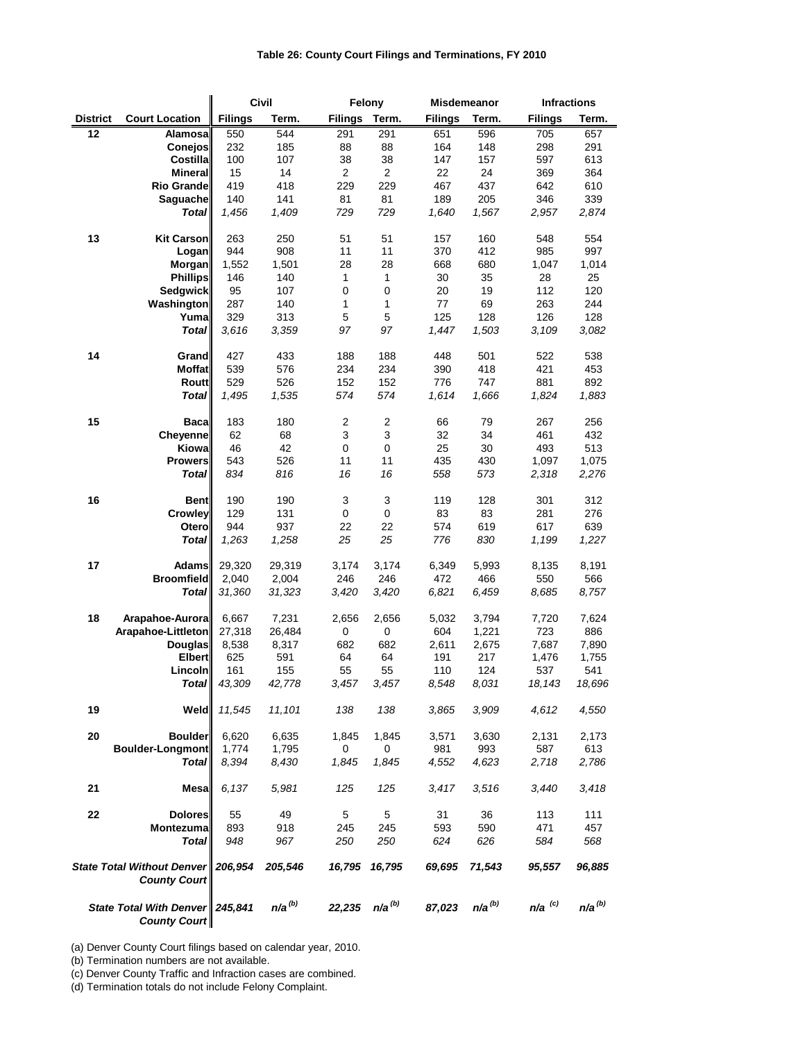|                                                             |                                 |                | <b>Civil</b> | Felony         |                  |                | <b>Misdemeanor</b> |                      | <b>Infractions</b> |
|-------------------------------------------------------------|---------------------------------|----------------|--------------|----------------|------------------|----------------|--------------------|----------------------|--------------------|
| <b>District</b>                                             | <b>Court Location</b>           | <b>Filings</b> | Term.        | <b>Filings</b> | Term.            | <b>Filings</b> | Term.              | <b>Filings</b>       | Term.              |
| 12                                                          | Alamosa                         | 550            | 544          | 291            | 291              | 651            | 596                | 705                  | 657                |
|                                                             | <b>Conejos</b>                  | 232            | 185          | 88             | 88               | 164            | 148                | 298                  | 291                |
|                                                             | <b>Costilla</b>                 | 100            | 107          | 38             | 38               | 147            | 157                | 597                  | 613                |
|                                                             | <b>Mineral</b>                  | 15             | 14           | $\overline{2}$ | $\overline{2}$   | 22             | 24                 | 369                  | 364                |
|                                                             | Rio Grande                      | 419<br>140     | 418<br>141   | 229<br>81      | 229<br>81        | 467<br>189     | 437<br>205         | 642<br>346           | 610<br>339         |
|                                                             | <b>Saguache</b><br><b>Total</b> | 1,456          | 1,409        | 729            | 729              | 1,640          | 1,567              | 2,957                | 2,874              |
|                                                             |                                 |                |              |                |                  |                |                    |                      |                    |
| 13                                                          | <b>Kit Carson</b>               | 263            | 250          | 51             | 51               | 157            | 160                | 548                  | 554                |
|                                                             | Logan                           | 944            | 908          | 11             | 11               | 370            | 412                | 985                  | 997                |
|                                                             | <b>Morgan</b>                   | 1,552          | 1,501        | 28             | 28               | 668            | 680                | 1,047                | 1,014              |
|                                                             | <b>Phillips</b>                 | 146            | 140          | $\mathbf{1}$   | $\mathbf 1$      | 30             | 35                 | 28                   | 25                 |
|                                                             | Sedgwick                        | 95             | 107          | $\pmb{0}$      | $\boldsymbol{0}$ | 20             | 19                 | 112                  | 120                |
|                                                             | Washington                      | 287            | 140          | 1              | 1                | 77             | 69                 | 263                  | 244                |
|                                                             | Yumal                           | 329            | 313          | 5              | $\mathbf 5$      | 125            | 128                | 126                  | 128                |
|                                                             | <b>Total</b>                    | 3,616          | 3,359        | 97             | 97               | 1,447          | 1,503              | 3,109                | 3,082              |
| 14                                                          | Grand                           | 427            | 433          | 188            | 188              | 448            | 501                | 522                  | 538                |
|                                                             | <b>Moffat</b>                   | 539            | 576          | 234            | 234              | 390            | 418                | 421                  | 453                |
|                                                             | <b>Routt</b>                    | 529            | 526          | 152            | 152              | 776            | 747                | 881                  | 892                |
|                                                             | <b>Total</b>                    | 1,495          | 1,535        | 574            | 574              | 1,614          | 1,666              | 1,824                | 1,883              |
|                                                             |                                 |                |              |                |                  |                |                    |                      |                    |
| 15                                                          | <b>Baca</b>                     | 183            | 180          | $\overline{c}$ | $\overline{c}$   | 66             | 79                 | 267                  | 256                |
|                                                             | <b>Cheyenne</b>                 | 62             | 68           | $\mathbf{3}$   | $\mathbf{3}$     | 32             | 34                 | 461                  | 432                |
|                                                             | Kiowa                           | 46             | 42           | $\pmb{0}$      | $\boldsymbol{0}$ | 25             | 30                 | 493                  | 513                |
|                                                             | <b>Prowers</b>                  | 543            | 526          | 11             | 11               | 435            | 430                | 1,097                | 1,075              |
|                                                             | <b>Total</b>                    | 834            | 816          | 16             | 16               | 558            | 573                | 2,318                | 2,276              |
| 16                                                          | <b>Bent</b>                     | 190            | 190          | 3              | 3                | 119            | 128                | 301                  | 312                |
|                                                             | <b>Crowley</b>                  | 129            | 131          | $\mathbf 0$    | $\mathbf 0$      | 83             | 83                 | 281                  | 276                |
|                                                             | <b>Otero</b>                    | 944            | 937          | 22             | 22               | 574            | 619                | 617                  | 639                |
|                                                             | <b>Total</b>                    | 1,263          | 1,258        | 25             | 25               | 776            | 830                | 1,199                | 1,227              |
|                                                             |                                 |                |              |                |                  |                |                    |                      |                    |
| 17                                                          | <b>Adams</b>                    | 29,320         | 29,319       | 3,174          | 3,174            | 6,349          | 5,993              | 8,135                | 8,191              |
|                                                             | <b>Broomfield</b>               | 2,040          | 2,004        | 246            | 246              | 472            | 466                | 550                  | 566                |
|                                                             | <b>Total</b>                    | 31,360         | 31,323       | 3,420          | 3,420            | 6,821          | 6,459              | 8,685                | 8,757              |
| 18                                                          | Arapahoe-Aurora                 | 6,667          | 7,231        | 2,656          | 2,656            | 5,032          | 3,794              | 7,720                | 7,624              |
|                                                             | Arapahoe-Littleton              | 27,318         | 26,484       | 0              | $\pmb{0}$        | 604            | 1,221              | 723                  | 886                |
|                                                             | <b>Douglas</b>                  | 8,538          | 8,317        | 682            | 682              | 2,611          | 2,675              | 7,687                | 7,890              |
|                                                             | <b>Elbert</b>                   | 625            | 591          | 64             | 64               | 191            | 217                | 1,476                | 1,755              |
|                                                             | Lincoln                         | 161            | 155          | 55             | 55               | 110            | 124                | 537                  | 541                |
|                                                             | <b>Total</b>                    | 43,309         | 42,778       | 3,457          | 3,457            | 8,548          | 8,031              | 18,143               | 18,696             |
| 19                                                          | <b>Weld</b>                     | 11,545         | 11,101       | 138            | 138              | 3,865          | 3,909              | 4,612                | 4,550              |
|                                                             |                                 |                |              |                |                  |                |                    |                      |                    |
| 20                                                          | <b>Boulder</b>                  | 6,620          | 6,635        | 1,845          | 1,845            | 3,571          | 3,630              | 2,131                | 2,173              |
|                                                             | Boulder-Longmont                | 1,774          | 1,795        | 0              | 0                | 981            | 993                | 587                  | 613                |
|                                                             | <b>Total</b>                    | 8,394          | 8,430        | 1,845          | 1,845            | 4,552          | 4,623              | 2,718                | 2,786              |
| 21                                                          | <b>Mesa</b>                     | 6,137          | 5,981        | 125            | 125              | 3,417          | 3,516              | 3,440                | 3,418              |
| 22                                                          | <b>Dolores</b>                  | 55             | 49           | 5              | 5                | 31             | 36                 | 113                  | 111                |
|                                                             | <b>Montezuma</b>                | 893            | 918          | 245            | 245              | 593            | 590                | 471                  | 457                |
|                                                             | <b>Total</b>                    | 948            | 967          | 250            | 250              | 624            | 626                | 584                  | 568                |
|                                                             |                                 |                |              |                |                  |                |                    |                      |                    |
| State Total Without Denver   206,954<br><b>County Court</b> |                                 |                | 205,546      | 16,795         | 16,795           | 69,695         | 71,543             | 95,557               | 96,885             |
| State Total With Denver   245,841<br><b>County Court</b>    |                                 |                | $n/a^{(b)}$  | 22,235         | $n/a^{(b)}$      | 87,023         | $n/a^{(b)}$        | $n/a$ <sup>(c)</sup> | $n/a^{(b)}$        |

(b) Termination numbers are not available.

(c) Denver County Traffic and Infraction cases are combined.